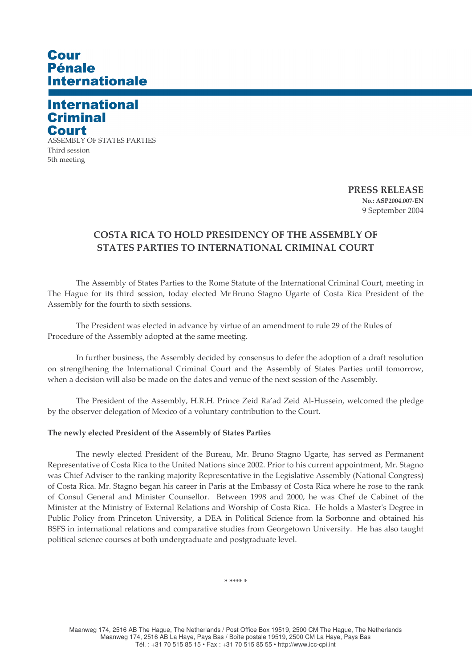# Cour Pénale **Internationale**

## **International Criminal** Court

**ASSEMBLY OF STATES PARTIES** Third session 5th meeting

> **PRESS RELEASE** No.: ASP2004.007-EN 9 September 2004

### COSTA RICA TO HOLD PRESIDENCY OF THE ASSEMBLY OF **STATES PARTIES TO INTERNATIONAL CRIMINAL COURT**

The Assembly of States Parties to the Rome Statute of the International Criminal Court, meeting in The Hague for its third session, today elected Mr Bruno Stagno Ugarte of Costa Rica President of the Assembly for the fourth to sixth sessions.

The President was elected in advance by virtue of an amendment to rule 29 of the Rules of Procedure of the Assembly adopted at the same meeting.

In further business, the Assembly decided by consensus to defer the adoption of a draft resolution on strengthening the International Criminal Court and the Assembly of States Parties until tomorrow, when a decision will also be made on the dates and venue of the next session of the Assembly.

The President of the Assembly, H.R.H. Prince Zeid Ra'ad Zeid Al-Hussein, welcomed the pledge by the observer delegation of Mexico of a voluntary contribution to the Court.

### The newly elected President of the Assembly of States Parties

The newly elected President of the Bureau, Mr. Bruno Stagno Ugarte, has served as Permanent Representative of Costa Rica to the United Nations since 2002. Prior to his current appointment, Mr. Stagno was Chief Adviser to the ranking majority Representative in the Legislative Assembly (National Congress) of Costa Rica. Mr. Stagno began his career in Paris at the Embassy of Costa Rica where he rose to the rank of Consul General and Minister Counsellor. Between 1998 and 2000, he was Chef de Cabinet of the Minister at the Ministry of External Relations and Worship of Costa Rica. He holds a Master's Degree in Public Policy from Princeton University, a DEA in Political Science from la Sorbonne and obtained his BSFS in international relations and comparative studies from Georgetown University. He has also taught political science courses at both undergraduate and postgraduate level.

 $*****$